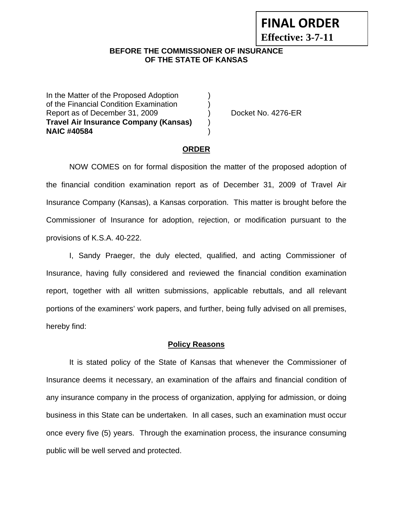# **FINAL ORDER**

**Effective: 3-7-11** 

#### **BEFORE THE COMMISSIONER OF INSURANCE OF THE STATE OF KANSAS**

In the Matter of the Proposed Adoption of the Financial Condition Examination ) Report as of December 31, 2009 (a) Docket No. 4276-ER **Travel Air Insurance Company (Kansas)** ) **NAIC #40584** )

#### **ORDER**

 NOW COMES on for formal disposition the matter of the proposed adoption of the financial condition examination report as of December 31, 2009 of Travel Air Insurance Company (Kansas), a Kansas corporation. This matter is brought before the Commissioner of Insurance for adoption, rejection, or modification pursuant to the provisions of K.S.A. 40-222.

 I, Sandy Praeger, the duly elected, qualified, and acting Commissioner of Insurance, having fully considered and reviewed the financial condition examination report, together with all written submissions, applicable rebuttals, and all relevant portions of the examiners' work papers, and further, being fully advised on all premises, hereby find:

#### **Policy Reasons**

 It is stated policy of the State of Kansas that whenever the Commissioner of Insurance deems it necessary, an examination of the affairs and financial condition of any insurance company in the process of organization, applying for admission, or doing business in this State can be undertaken. In all cases, such an examination must occur once every five (5) years. Through the examination process, the insurance consuming public will be well served and protected.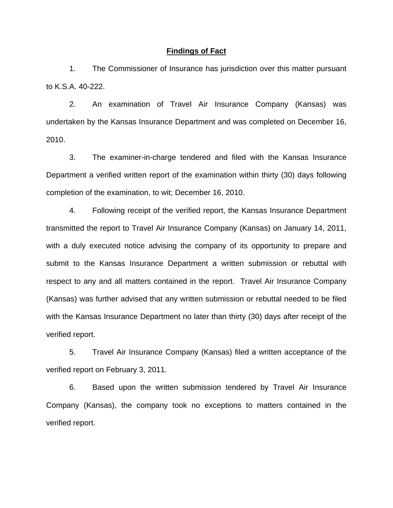#### **Findings of Fact**

 1. The Commissioner of Insurance has jurisdiction over this matter pursuant to K.S.A. 40-222.

 2. An examination of Travel Air Insurance Company (Kansas) was undertaken by the Kansas Insurance Department and was completed on December 16, 2010.

 3. The examiner-in-charge tendered and filed with the Kansas Insurance Department a verified written report of the examination within thirty (30) days following completion of the examination, to wit; December 16, 2010.

 4. Following receipt of the verified report, the Kansas Insurance Department transmitted the report to Travel Air Insurance Company (Kansas) on January 14, 2011, with a duly executed notice advising the company of its opportunity to prepare and submit to the Kansas Insurance Department a written submission or rebuttal with respect to any and all matters contained in the report. Travel Air Insurance Company (Kansas) was further advised that any written submission or rebuttal needed to be filed with the Kansas Insurance Department no later than thirty (30) days after receipt of the verified report.

 5. Travel Air Insurance Company (Kansas) filed a written acceptance of the verified report on February 3, 2011.

6. Based upon the written submission tendered by Travel Air Insurance Company (Kansas), the company took no exceptions to matters contained in the verified report.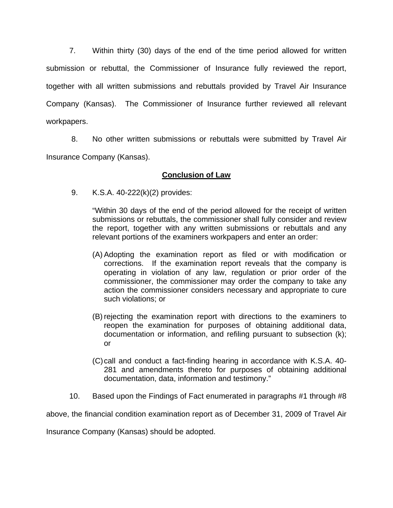7. Within thirty (30) days of the end of the time period allowed for written submission or rebuttal, the Commissioner of Insurance fully reviewed the report, together with all written submissions and rebuttals provided by Travel Air Insurance Company (Kansas). The Commissioner of Insurance further reviewed all relevant workpapers.

 8. No other written submissions or rebuttals were submitted by Travel Air Insurance Company (Kansas).

### **Conclusion of Law**

9. K.S.A. 40-222(k)(2) provides:

"Within 30 days of the end of the period allowed for the receipt of written submissions or rebuttals, the commissioner shall fully consider and review the report, together with any written submissions or rebuttals and any relevant portions of the examiners workpapers and enter an order:

- (A) Adopting the examination report as filed or with modification or corrections. If the examination report reveals that the company is operating in violation of any law, regulation or prior order of the commissioner, the commissioner may order the company to take any action the commissioner considers necessary and appropriate to cure such violations; or
- (B) rejecting the examination report with directions to the examiners to reopen the examination for purposes of obtaining additional data, documentation or information, and refiling pursuant to subsection (k); or
- (C) call and conduct a fact-finding hearing in accordance with K.S.A. 40- 281 and amendments thereto for purposes of obtaining additional documentation, data, information and testimony."
- 10. Based upon the Findings of Fact enumerated in paragraphs #1 through #8

above, the financial condition examination report as of December 31, 2009 of Travel Air

Insurance Company (Kansas) should be adopted.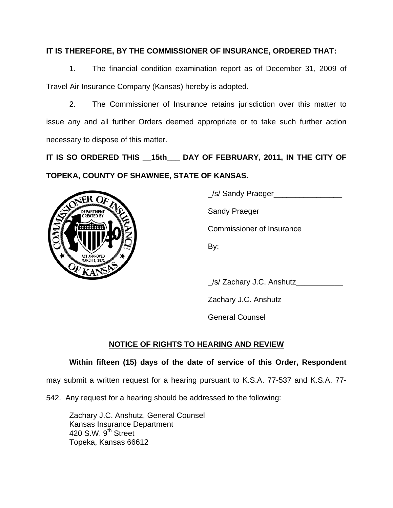## **IT IS THEREFORE, BY THE COMMISSIONER OF INSURANCE, ORDERED THAT:**

 1. The financial condition examination report as of December 31, 2009 of Travel Air Insurance Company (Kansas) hereby is adopted.

 2. The Commissioner of Insurance retains jurisdiction over this matter to issue any and all further Orders deemed appropriate or to take such further action necessary to dispose of this matter.

**IT IS SO ORDERED THIS \_\_15th\_\_\_ DAY OF FEBRUARY, 2011, IN THE CITY OF TOPEKA, COUNTY OF SHAWNEE, STATE OF KANSAS.** 



\_/s/ Sandy Praeger\_\_\_\_\_\_\_\_\_\_\_\_\_\_\_\_

Commissioner of Insurance

\_/s/ Zachary J.C. Anshutz\_\_\_\_\_\_\_\_\_\_\_

Zachary J.C. Anshutz

General Counsel

# **NOTICE OF RIGHTS TO HEARING AND REVIEW**

# **Within fifteen (15) days of the date of service of this Order, Respondent**

may submit a written request for a hearing pursuant to K.S.A. 77-537 and K.S.A. 77-

542. Any request for a hearing should be addressed to the following:

 Zachary J.C. Anshutz, General Counsel Kansas Insurance Department 420 S.W.  $9<sup>th</sup>$  Street Topeka, Kansas 66612